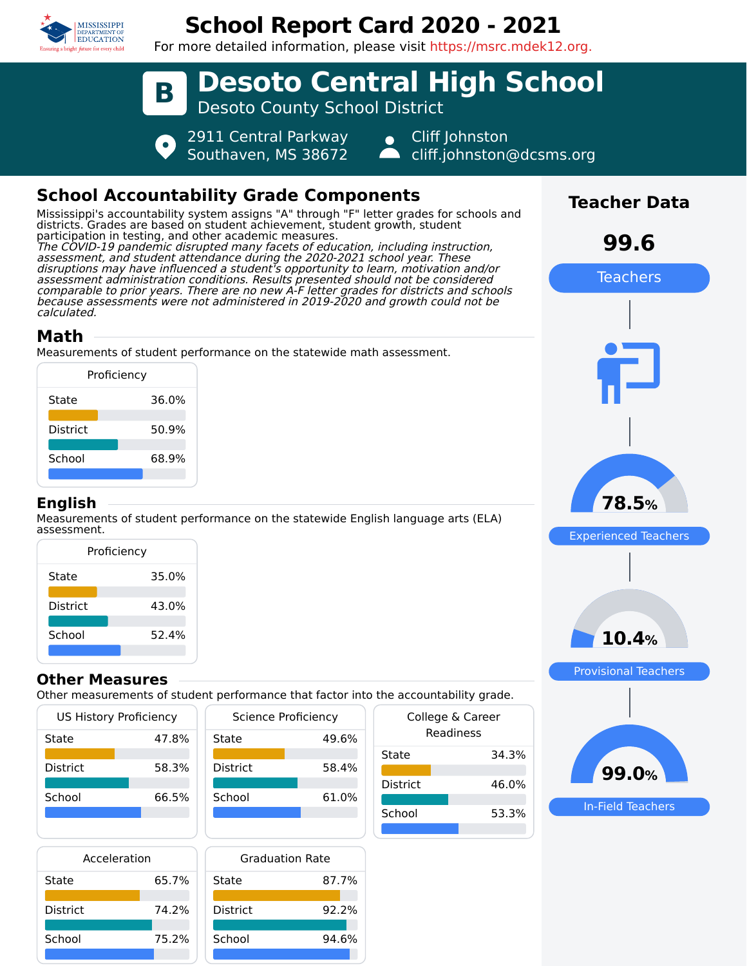

# **School Report Card 2020 - 2021**

For more detailed information, please visit https://msrc.mdek12.org.



## **Math**

calculated.

Measurements of student performance on the statewide math assessment.

|                 | Proficiency |       |
|-----------------|-------------|-------|
| State           |             | 36.0% |
| <b>District</b> |             | 50.9% |
| School          |             | 68.9% |
|                 |             |       |

#### **English**

Measurements of student performance on the statewide English language arts (ELA) assessment.

| Proficiency     |       |  |  |
|-----------------|-------|--|--|
| State           | 35.0% |  |  |
| <b>District</b> | 43.0% |  |  |
| School          | 52.4% |  |  |
|                 |       |  |  |

#### **Other Measures**

Other measurements of student performance that factor into the accountability grade.

| US History Proficiency |       |  |
|------------------------|-------|--|
| State                  | 47.8% |  |
| District               | 58.3% |  |
| School                 | 66.5% |  |
|                        |       |  |

|                 | <b>Science Proficiency</b> |       |
|-----------------|----------------------------|-------|
| State           |                            | 49.6% |
| <b>District</b> |                            | 58.4% |
| School          |                            | 61.0% |
|                 |                            |       |

| Acceleration    |       |                 |
|-----------------|-------|-----------------|
| State           | 65.7% | State           |
| <b>District</b> | 74.2% | <b>District</b> |
| School          | 75.2% | School          |
|                 |       |                 |

| <b>Graduation Rate</b> |       |
|------------------------|-------|
| State                  | 87.7% |
| <b>District</b>        | 92.2% |
| School                 | 94.6% |

| uic accountability grauc.     |  |  |  |
|-------------------------------|--|--|--|
| College & Career<br>Readiness |  |  |  |
| 34.3%                         |  |  |  |
| 46.0%                         |  |  |  |
| 53.3%                         |  |  |  |
|                               |  |  |  |





**99.0%**